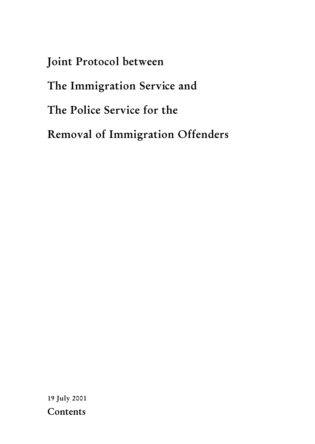Joint Protocol between

The Immigration Service and

The Police Service for the

Removal of Immigration Offenders

19 July 2001 Contents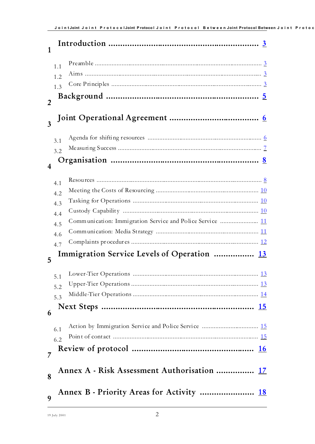| 1                                                |                                           |                                                           |  |  |  |
|--------------------------------------------------|-------------------------------------------|-----------------------------------------------------------|--|--|--|
| $\overline{2}$                                   | 1.1<br>1.2<br>1.3                         |                                                           |  |  |  |
|                                                  |                                           |                                                           |  |  |  |
|                                                  | 3.1<br>3.2                                |                                                           |  |  |  |
| $\overline{\mathbf{4}}$                          | 4.1                                       |                                                           |  |  |  |
|                                                  | 4.2<br>4.3                                |                                                           |  |  |  |
|                                                  | 4.4<br>4.5                                | Communication: Immigration Service and Police Service  11 |  |  |  |
|                                                  | 4.6<br>4.7                                |                                                           |  |  |  |
| Immigration Service Levels of Operation  13<br>5 |                                           |                                                           |  |  |  |
|                                                  | 5.2<br>5.3                                |                                                           |  |  |  |
| 6                                                |                                           |                                                           |  |  |  |
|                                                  | 6.1<br>6.2                                |                                                           |  |  |  |
| Annex A - Risk Assessment Authorisation  17<br>8 |                                           |                                                           |  |  |  |
| 9                                                | Annex B - Priority Areas for Activity  18 |                                                           |  |  |  |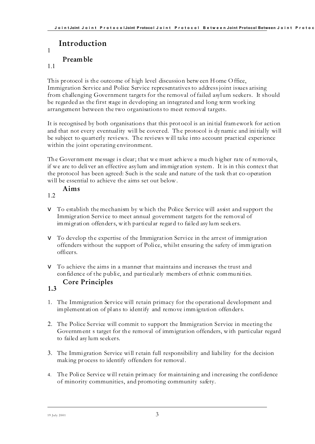# Introduction

# Preamble

1.1

1

This protocol is the outcome of high level discussion betw een Home Office, Immigration Service and Police Service representatives to address joint issues arising from challenging Government targets for the removal of failed asyl um seekers. It should be regarded as the first stage in developing an integrated and long term work ing arrangement between the two organisations to meet removal targets.

It is recognised by both organisations that this protocol is an initial framework for action and that not every eventuality will be covered. The protocol is dynamic and initially will be subject to quarterly reviews. The reviews will take into account practical experience within the joint operating environment.

The Government message is clear; that we must achieve a much higher rate of removals, if we are to deli ver an effective asy lum and immigr ation system. It is in this context that the protocol has been agreed: Such is the scale and nature of the task that co-operation will be essential to achieve the aims set out below.

## Aims

#### 1.2

- v To establish the mechanism by which the Police Service will assist and support the Immigr ation Servi ce to meet annual government targets for the removal of immi grati on offenders, with particular regard to failed asy lum seekers.
- $V$  To develop the expertise of the Immigration Service in the arrest of immigration offenders without the support of Poli ce, whi lst ensuring the safety of immigration officers.
- v To achieve the aims in a manner that maintains and increases the trust and confidence of the public, and particularly members of ethnic communities.

## Core Principles

#### 1.3

- 1. The Immigration Service will retain primacy for the operational development and implement ati on of pl ans to identify and remove immigration offenders.
- 2. The Police Service will commit to support the Immigration Service in meeting the Government s target for the removal of immigration offenders, with parti cular regard to failed asy lum seekers.
- 3. The Immigration Service will retain full responsibility and liability for the decision mak ing process to identify offenders for removal .
- 4. The Poli ce Servi ce will retain primacy for maintaining and increasing the confidence of minority communities, and promoting community safety.

19 July 2001  $\sim$  3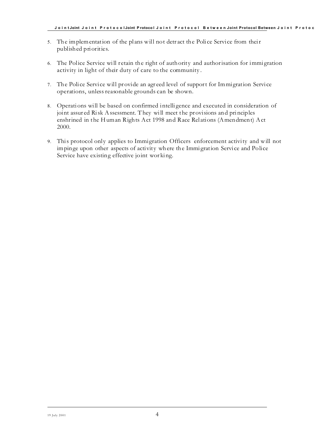- 5. The implementation of the plans will not detract the Police Service from their published priorities.
- 6. The Police Service will retain the right of authority and authorisation for immigration activity in light of their duty of care to the community .
- 7. The Poli ce Servi ce will provide an agr eed level of support for Immigration Servi ce operations, unless reasonable grounds can be shown.
- 8. Operations will be based on confirmed intelligence and executed in consideration of joint assured Risk Assessment. They will meet the provisions and principles enshrined in the Human Rights Act 1998 and Race Rel ations (Amendment) Act 2000.
- 9. This protocol only applies to Immigration Officers enforcement activity and will not impinge upon other aspects of activity where the Immigration Service and Police Service have existing effective joint wor king.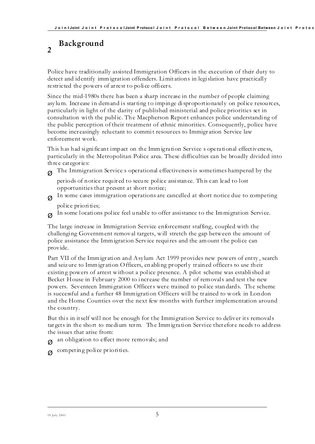#### 2 Background

Police have traditionally assisted Immigration Officers in the execution of their duty to detect and identify immigration offenders. Limit ations in legislation have practicall y restricted the powers of arrest to police officers.

Since the mid-1980s there has been a sharp increase in the number of people claiming asy lum. Increase in demand is starting to impinge disproportionately on police resources, particularly in light of the clarity of published ministerial and police priorities set in consultation with the public. The Macpherson Report enhances police understanding of the public perception of their treatment of ethnic minorities. Consequently, police have become incr easingly reluctant to commit resources to Immigr ation Service law enforcement work.

This has had si gnificant impact on the Immigration Service s operational effectiveness, particularly in the Metropolitan Police area. These difficulties can be broadly divided into three categories:

 $\varnothing$  . The Immigration Service s operational effectiveness is sometimes hampered by the

periods of notice requir ed to secure pol ice assistance. This can lead to lost opportunities that present at short notice;

- $\alpha$ In some cases immigration operations are cancelled at short notice due to competing police priorities;
- Ø In some locations police feel unable to offer assistance to the Immigration Service.

The large increase in Immigration Service enforcement staffing, coupled with the challenging Government removal targets, will stretch the gap between the amount of police assistance the Immigration Service requires and the amount the police can provide.

Part VII of the Immigr ation and Asylum Act 1999 provides new powers of entry , search and seizure to Immigration Officers, enabling properly trained officers to use their existing powers of arrest without a police presence. A pilot scheme was established at Becket House in February 2000 to increase the number of removals and test the new powers. Seventeen Immigration Officers were trained to police standards. The scheme is successful and a further 48 Immigration Officers wi ll be tr ained to work in London and the Home Counties over the next few months with further implementation around the country.

But this in itself will not be enough for the Immigration Service to deliver its removals tar gets in the short to medium term. The Immigration Service ther efor e needs to address the issues that arise from:

- Ø an obligation to effect more removals; and
- Ø competing poli ce priorities.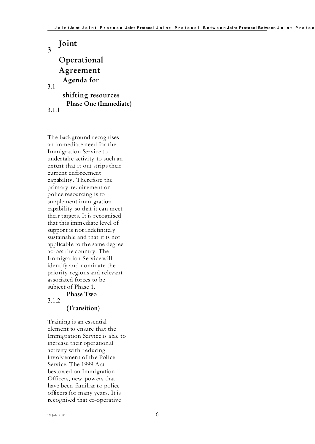3 Joint Operational Agreement 3.1 Agenda for shifting resources Phase One (Immediate)

3.1.1

The background recognises an immediate need for the Immigration Service to undertake activity to such an extent that it out strips their current enforcement capability. Therefore the primary requir ement on police resourcing is to supplement immi gration capability so that it can meet their targets. It is recognised that this immediate level of support is not indefinitel y sustainable and that it is not applicable to the same degree across the country. The Immigration Service will identify and nominate the priority regions and relevant associated forces to be subject of Phase 1.

3.1.2 Phase Two (Transition)

Tr aining is an essential element to ensure that the Immigration Service is able to incr ease their oper ational activity with r educing involvement of the Poli ce Servi ce. The 1999 Act bestowed on Immi gration Officers, new powers that have been familiar to police officers for many years. It is recognised that co-operative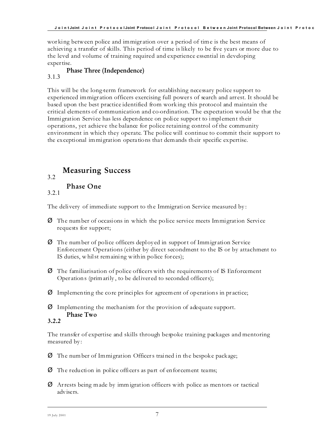wor king between police and immigr ation over a period of time is the best means of achieving a transfer of skills. This period of time is likely to be five years or more due to the level and volume of training required and experience essential in developing expertise.

## Phase Three (Independence)

3.1.3

This will be the long-term framework for establishing necessary police support to experienced immigration officers exercising full powers of search and arrest. It should be based upon the best practice identified from work ing this protocol and maintain the critical elements of communication and co-ordination. The expectation would be that the Immigration Service has less dependence on police support to implement their operations, yet achieve the balance for police retaining control of the community environment in which they operate. The police will continue to commit their support to the exceptional immigration operations that demands their specific expertise.

# Measuring Success

### 3.2

Phase One

3.2.1

The delivery of immediate support to the Immigration Service measured by:

- Ø The number of occasions in which the police service meets Immigration Servi ce requests for support;
- Ø The number of police officers deploy ed in support of Immigr ation Service Enforcement Operations (either by direct secondment to the IS or by attachment to IS duties, whilst remaining within police for ces);
- Ø The familiarisation of police officers with the requirements of IS Enforcement Oper ations (primarily , to be del iver ed to seconded officers);
- Ø Implementing the core princi ples for agreement of operations in pr actice;
- Ø Implementing the mechanism for the provision of adequate support. Phase Two

#### 3.2.2

The transfer of expertise and skills through bespoke training packages and mentoring measured by :

- Ø The number of Immigration Officers trained in the bespoke package;
- $\emptyset$  The reduction in police officers as part of enforcement teams;
- Ø Arrests being made by immigration officers with police as mentors or tactical advisers.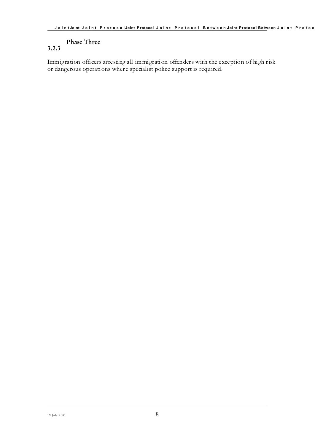## Phase Three

## 3.2.3

Immigration officers arresting all immigration offenders with the exception of high risk or dangerous operations where specialist police support is required.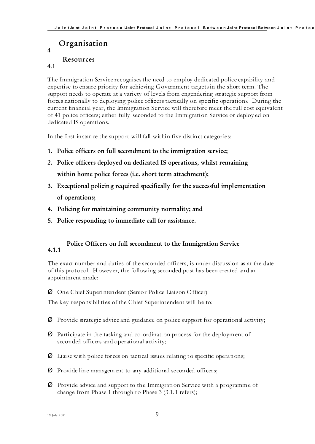#### 4 Organisation

## Resources

4.1

The Immigration Service recognises the need to employ dedicated police capability and expertise to ensure priority for achieving Government targets in the short term. The support needs to operate at a variety of levels from engendering strategic support from forces nationally to deploying police officers tactically on specific operations. During the current financial year, the Immigration Service will therefore meet the full cost equivalent of 41 police officers; either fully seconded to the Immigration Service or deploy ed on dedicated IS operati ons.

In the first instance the support will fall within five distinct categories:

- 1. Police officers on full secondment to the immigration service;
- 2. Police officers deployed on dedicated IS operations, whilst remaining within home police forces (i.e. short term attachment);
- 3. Exceptional policing required specifically for the successful implementation of operations;
- 4. Policing for maintaining community normality; and
- 5. Police responding to immediate call for assistance.

#### 4.1.1 Police Officers on full secondment to the Immigration Service

The exact number and duties of the seconded officers, is under discussion as at the date of this protocol. However, the following seconded post has been created and an appointment made:

Ø One Chief Superintendent (Senior Police Liaison Officer)

The key responsibilities of the Chief Superint endent will be to:

- $\varnothing$  Provide strategic advice and guidance on police support for operational activity;
- Ø Parti cipate in the tasking and co-ordinati on process for the deployment of seconded officers and operational activity;
- $\varnothing$  Liaise with police forces on tactical issues relating to specific operations;
- Ø Provi de line management to any additional seconded officers;
- Ø Provide advice and support to the Immigrati on Service with a programme of change from Phase 1 through to Phase 3 (3.1.1 refers);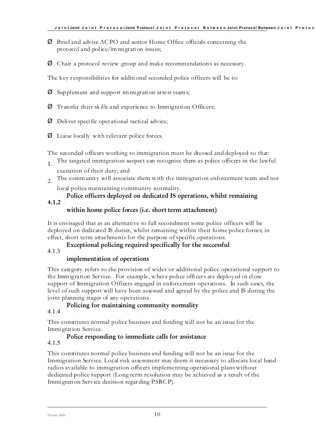- Ø Brief and advise ACPO and senior Home Office officials concerning the protocol and police/immigration issues;
- Ø Chair a protocol review group and mak e recommendations as necessary .

The key responsibilities for additional seconded police officers will be to:

- Ø Supplement and support immi grati on arrest teams;
- $Ø$  Transfer their skills and experience to Immigration Officers;
- Ø Deliver specific oper ational tacti cal advice;
- $\emptyset$  Liaise locally with relevant police forces.

The seconded officers working to immigration must be dressed and deployed so that:

- 1. The targeted immigration suspect can recognise them as police officers in the lawful execution of their duty; and
- $2<sub>2</sub>$  The community will associate them with the immigration enforcement team and not

local police maintaining community normality.

#### 4.1.2 Police officers deployed on dedicated IS operations, whilst remaining

#### within home police forces (i.e. short term attachment)

It is envisaged that as an alternative to full secondment some police officers will be deployed on dedicated IS duties, whilst remaining within their home police forces; in effect, short term attachments for the purpose of specific operations.

### Exceptional policing required specifically for the successful

4.1.3

#### implementation of operations

This category refers to the provision of wider or additional police operational support to the Immigration Service. For example, wher e poli ce offi cers are deploy ed in close support of Immigration Officers engaged in enforcement operations. In such cases, the level of such support will have been assessed and agreed by the police and IS during the joint planning stages of any operations.

# Policing for maintaining community normality

#### 4.1.4

This constitutes normal police business and funding will not be an issue for the Immi gration Servi ce.

#### Police responding to immediate calls for assistance

#### 4.1.5

This constitutes normal police business and funding will not be an issue for the Immigration Service. Local risk assessment may deem it necessary to allocate local band radios available to immigration officers implementing operational plans without dedicated police support (Long term resolution may be achieved as a result of the Immigration Service decision regarding PSRCP).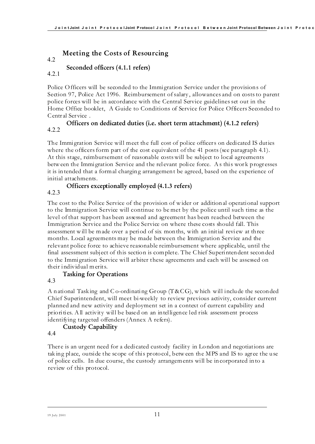## Meeting the Costs of Resourcing

## Seconded officers (4.1.1 refers)

#### 4.2.1

4.2

Police Officers will be seconded to the Immigration Service under the provisions of Section 97, Police Act 1996. Reimbursement of salary, allowances and on costs to parent police forces will be in accordance with the Central Service guidelines set out in the Home Office booklet, A Guide to Conditions of Service for Police Officers Seconded to Centr al Service .

#### 4.2.2 Officers on dedicated duties (i.e. short term attachment) (4.1.2 refers)

The Immi gration Servi ce will meet the full cost of police officers on dedi cated IS duties where the officers form part of the cost equivalent of the 41 posts (see paragraph 4.1). At this stage, reimbursement of reasonable costs will be subject to local agreements between the Immigration Service and the relevant police force. As this work progresses it is intended that a formal charging arrangement be agreed, based on the experience of initial attachments.

# Officers exceptionally employed (4.1.3 refers)

#### 4.2.3

The cost to the Police Service of the provision of wider or additional operational support to the Immigration Service will continue to be met by the police until such time as the level of that support has been assessed and agreement has been reached between the Immigration Service and the Police Service on where these costs should fall. This assessment will be made over a period of six months, with an initial review at three months. Local agreements may be made between the Immigration Service and the relevant police force to achieve reasonable reimbursement where applicable, until the final assessment subject of this section is complete. The Chief Superintendent seconded to the Immigration Service will arbiter these agreements and each will be assessed on their individual merits.

#### Tasking for Operations

#### 4.3

A national Tasking and C o-ordinating Group  $(T \& C G)$ , which will include the seconded Chief Superintendent, will meet bi-weekly to review previous activity, consider current planned and new activity and deployment set in a context of current capability and priorities. All activity will be based on an intelligence led risk assessment process identifying targeted offenders (Annex A refers).

4.4 Custody Capability

There is an urgent need for a dedicated custody facility in London and negotiations are taking place, outside the scope of this protocol, between the MPS and IS to agree the use of police cells. In due course, the custody arrangements will be incorporated into a review of this protocol.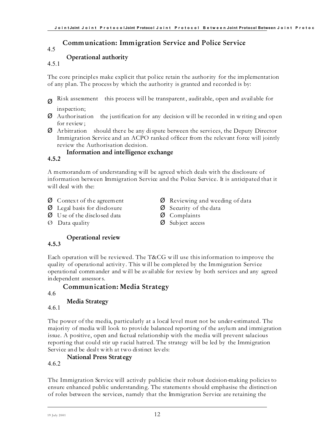# Communication: Immigration Service and Police Service

## Operational authority

#### 4.5.1

4.5

The core principles make explicit that police retain the authority for the implementation of any plan. The process by which the authority is granted and recorded is by:

 $\varnothing$  Risk assessment this process will be transparent, auditable, open and available for

inspection;

- $\emptyset$  Authorisation the justification for any decision will be recorded in w riting and open for review;
- $\emptyset$  Arbitration should there be any dispute between the services, the Deputy Director Immigration Service and an ACPO ranked officer from the relevant force will jointly review the Authorisation decision.

## Information and intelligence exchange

#### 4.5.2

A memorandum of understanding will be agreed whi ch deals with the disclosure of information between Immigration Service and the Police Service. It is anticipated that it will deal with the:

- Ø Contex t of the agreement
- Ø Legal basis for disclosure
- Ø Use of the disclosed data
- Ø Data quality
- Ø Reviewing and weeding of data
- Ø Security of the data
- Ø Complaints
- Ø Subject access

## Operational review

## 4.5.3

Each operation will be reviewed. The T&CG will use this information to improve the quality of operational activity. This will be completed by the Immigration Service operational commander and will be avail able for revi ew by both servi ces and any agreed independent assessors.

## Communication: Media Strategy

4.6

## Media Strategy

#### 4.6.1

The power of the media, particularly at a local level must not be under-estimated. The majority of media will look to provide balanced reporting of the asylum and immi gration issue. A positive, open and factual relationship with the media will prevent salacious reporting that could stir up r acial hatr ed. The strategy wi ll be led by the Immigration Service and be dealt with at two distinct levels:

## National Press Strategy

#### 4.6.2

The Immigration Service will actively publicise their robust decision-making policies to ensure enhanced public understanding. The statements should emphasise the distinction of roles between the services, namely that the Immigration Service are retaining the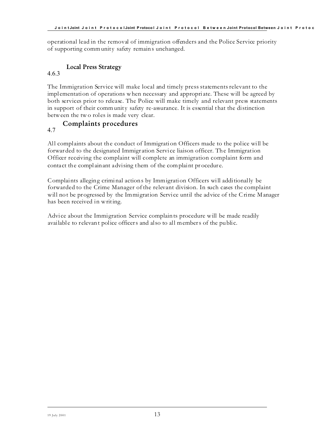operational lead in the removal of immigration offenders and the Police Service priority of supporting community safety remains unchanged.

# Local Press Strategy

#### 4.6.3

The Immigration Service will make local and timely press statements relevant to the impl ementation of operations when necessary and appropri ate. These will be agreed by both services prior to release. The Police will make timely and relevant press statements in support of their community safety re-assurance. It is essential that the distinction between the two roles is made very clear.

# Complaints procedures

4.7

All complaints about the conduct of Immigration Officers made to the police will be forwar ded to the designated Immigr ation Servi ce liaison officer. The Immigration Officer receiving the complaint will complete an immigration complaint form and contact the compl ainant advising them of the complaint pr ocedur e.

Complaints alleging crimi nal actions by Immigration Officers wi ll additionally be forwarded to the Crime Manager of the relevant division. In such cases the complaint will not be progressed by the Immigration Service until the advice of the Crime Manager has been received in writing.

Advi ce about the Immigration Service complaints procedure will be made readily available to relevant police officers and also to all members of the public.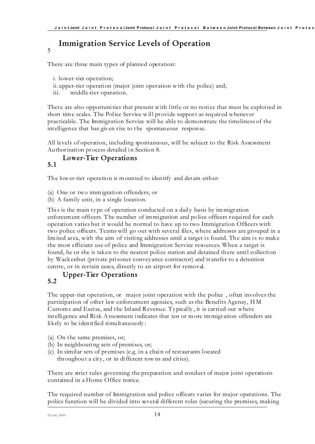# Immigration Service Levels of Operation

There are three main types of planned operation:

i. lower-tier operation; ii.upper-tier operation (major joint oper ation with the police) and; iii. middle-tier operation.

There are also opportunities that present with little or no notice that must be exploited in short time scales. The Police Service will provide support as required whenever practicable. The Immigration Service will be able to demonstrate the timeliness of the int elligence that has given rise to the spontaneous response.

All levels of operation, including spontaneous, will be subject to the Risk Assessment Authorisation process detailed in Section 8.

## Lower-Tier Operations

#### 5.1

5

The lower-tier operation is mounted to identify and det ain either:

- (a) One or two immigration offenders; or
- (b) A family unit, in a single location.

This is the main type of operation conducted on a daily basis by immigration enforcement officers. The number of immigration and police officers required for each operation varies but it would be normal to have up to two Immigration Officers with two police officers. Teams will go out with several files, where addresses are grouped in a limited ar ea, with the aim of visiting addresses until a target is found. The aim is to mak e the most efficient use of police and Immigration Service resources. When a target is found, he or she is tak en to the nearest poli ce station and detained there until collection by Wack enhut (private prisoner convey ance contractor) and tr ansfer to a detention centre, or in certain cases, directly to an airport for removal.

# Upper-Tier Operations

#### 5.2

The upper-tier operation, or major joint operation with the police , often involves the participation of other law enforcement agencies, such as the Benefits Agency, HM Customs and Excise, and the Inland Revenue. Typically, it is carried out where intelligence and Risk Assessment indicates that ten or more immigr ation offenders are likely to be identified simult aneously :

- (a) On the same premises, or;
- (b) In neighbouri ng sets of premises, or;
- (c) In similar sets of pr emises (e.g. in a chai n of restaurants located throughout a city, or in different towns and cities).

There are strict rules governing the preparation and conduct of major joint operations contained in a Home Office notice.

The required number of Immigration and police officers varies for major operations. The police function will be divided into several different roles (securing the premises, making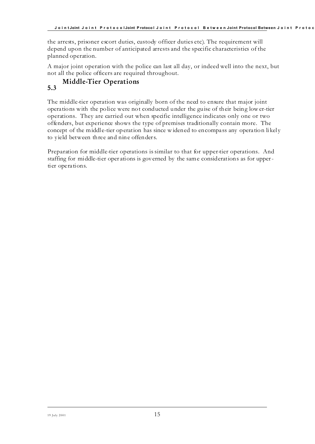the arrests, prisoner escort duties, custody officer duties etc). The requirement will depend upon the number of anticipated arrests and the specific characteristics of the planned operation.

A major joint operation with the police can last all day, or indeed well into the next, but not all the police officers are required throughout.

#### 5.3 Middle-Tier Operations

The middle-tier operation was originally born of the need to ensure that major joint operations with the police were not conducted under the guise of their being lower-tier operations. They are carried out when specific intelligence indicates only one or two offenders, but experience shows the type of premises traditionally contain more. The concept of the middle-tier operation has since widened to encompass any operation likely to y ield between three and nine offenders.

Preparation for middle-tier operations is similar to that for upper-tier operations. And staffing for middle-tier oper ations is governed by the same considerations as for uppertier operations.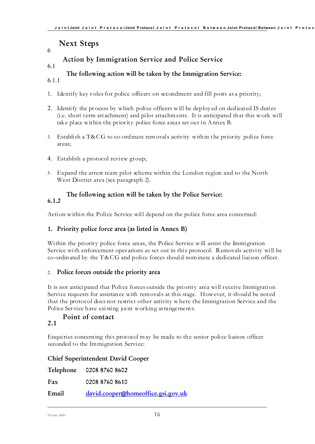# Next Steps

# Action by Immigration Service and Police Service

6.1

6

## The following action will be taken by the Immigration Service:

- 6.1.1
- 1. Identify key roles for police officers on secondment and fill posts as a priority;
- 2. Identify the process by which police officers will be deployed on dedicated IS duties (i.e. short term attachment) and pilot attachments. It is anticipated that this work will tak e place within the priority police force areas set out in Annex B.
- 3. Establish a T&CG to co-ordinate removals activity within the priority poli ce force areas;
- 4. Establish a protocol review group;
- 5. Expand the arrest team pilot scheme within the London region and to the North West District area (see paragraph 2).

## The following action will be taken by the Police Service:

#### 6.1.2

Action within the Police Service will depend on the police force area concerned:

## 1. Priority police force area (as listed in Annex B)

Within the priority police force areas, the Police Service will assist the Immigration Service with enforcement operations as set out in this protocol. Removals activity will be co-ordinated by the  $T\&CG$  and police forces should nominate a dedicated liaison officer.

## 2. Police forces outside the priority area

It is not anticipated that Police forces outside the priority area will receive Immigration Service requests for assistance with removals at this stage. However, it should be noted that the protocol does not restrict other activity w here the Immigration Service and the Police Service have existing joint working arrangements.

#### 2.1 Point of contact

Enquiries concerning this protocol may be made to the senior poli ce liaison officer seconded to the Immigration Service:

## Chief Superintendent David Cooper

|       | Telephone 0208 8760 8602           |
|-------|------------------------------------|
| Fax   | 0208 8760 8610                     |
| Email | david.cooper@homeoffice.gsi.gov.uk |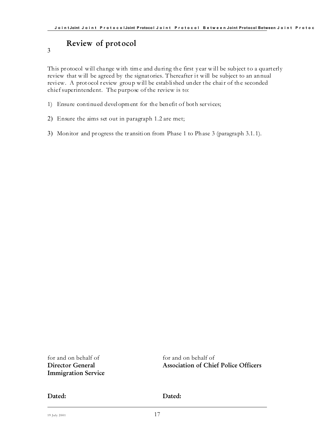# Review of protocol

3

This protocol will change with time and during the first y ear will be subject to a quarterly review that will be agreed by the signatories. Thereafter it will be subject to an annual revi ew. A protocol r eview group will be established under the chair of the seconded chief superintendent. The purpose of the review is to:

- 1) Ensure continued devel opment for the benefit of both ser vices;
- 2) Ensure the aims set out in paragraph 1.2 are met;
- 3) Monitor and progress the tr ansiti on from Phase 1 to Phase 3 (paragraph 3.1.1).

for and on behalf of Director General Immigration Service

for and on behalf of Association of Chief Police Officers

Dated: Dated: Dated:

19 July 2001 **17**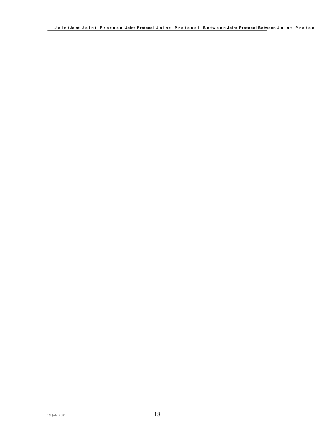19 July 2001  $18$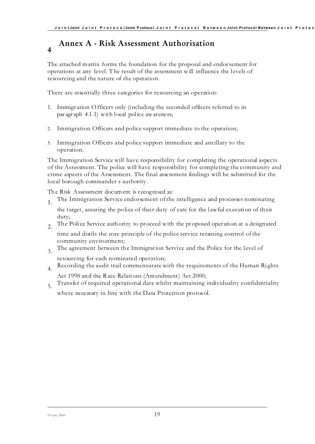### 4 Annex A - Risk Assessment Authorisation

The attached matrix forms the foundation for the proposal and endorsement for operations at any level. The result of the assessment will influence the l evels of resourcing and the nature of the operation.

There are essentially three categories for resourcing an operation:

- 1. Immigr ation Officers only (including the seconded officers referred to in par agr aph 4.1.1) with local police awareness;
- 2. Immigration Officers and police support immediate to the operation;
- 3. Immigration Officers and police support immediate and ancillary to the operation.

The Immigration Service will have responsibility for completing the operational aspects of the Assessment. The police will have responsibility for completing the community and crime aspects of the Assessment. The final assessment findings will be submitted for the local borough commander s authority .

The Risk Assessment document is r ecognised as:

- 1. The Immigration Service endorsement of the intelligence and processes nominating the target, assuring the police of their duty of care for the lawful execution of their duty;
- 2. The Poli ce Servi ce authority to proceed with the pr oposed oper ation at a designated

time and distils the core principle of the police service retaining control of the community environment;

- 3. The agreement between the Immigration Service and the Police for the level of resourcing for each nominated operation;
- $4$  Recording the audit trail commensurate with the requirements of the Human Rights Act 1998 and the Race Relations (Amendment) Act 2000;
- 5. Transfer of required operational data whilst maintaining individuality confidentiality

where necessary in line with the Data Protection protocol.